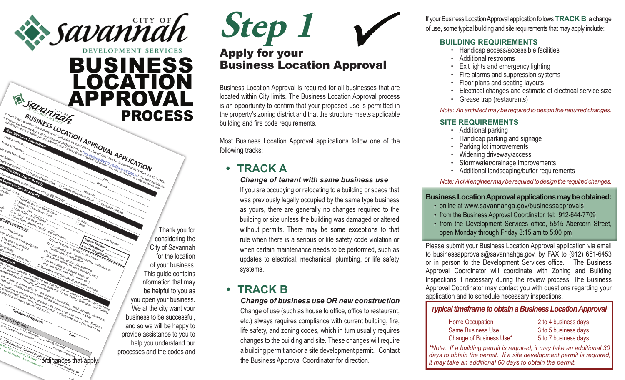## **Savannah** DEVELOPMENT SERVICES BUSINESS LOCATION Esquares APPROVAL PROCESSA SUSINESSICATION APPROVALATION SUSTAINS TO UNITED TRANSPORTATION

Phone #:\_\_\_\_\_\_\_\_\_\_\_\_\_\_\_\_\_\_\_\_\_\_\_\_\_\_\_\_\_\_\_\_\_\_

Change of Address

 $\begin{picture}(120,44) \put(0,0){\vector(1,0){100}} \put(15,0){\vector(1,0){100}} \put(15,0){\vector(1,0){100}} \put(15,0){\vector(1,0){100}} \put(15,0){\vector(1,0){100}} \put(15,0){\vector(1,0){100}} \put(15,0){\vector(1,0){100}} \put(15,0){\vector(1,0){100}} \put(15,0){\vector(1,0){100}} \put(15,0){\vector(1,0){100}} \put(15,0){\vector(1,0){100}} \$ 

**LOCATION APPROVAL APPLICATION** 

**Square Footage: # of People: 2018**<br>of Employees: and the Space: and the Space: and the Space: and the Space: and the Space: and the Space: and the Space: and the Space: and the Space: and the Space: and the Space: and the

**# of Employees: \_\_\_\_\_\_\_\_\_\_\_\_\_**

**# Seats (if applicable): \_\_\_\_\_\_\_\_**

Comparing the Compact of People Compact of People Compact of People Compact of People Compact of People Compact of People Compact of People Compact of People Compact of People Compact of People Compact of People Compact of

Apply for your Business Location Approval **Step 1**  $\sqrt{ }$ 

Business Location Approval is required for all businesses that are located within City limits. The Business Location Approval process is an opportunity to confirm that your proposed use is permitted in the property's zoning district and that the structure meets applicable building and fire code requirements.

Most Business Location Approval applications follow one of the following tracks:

### **• TRACK A**

#### *Change of tenant with same business use*

If you are occupying or relocating to a building or space that was previously legally occupied by the same type business as yours, there are generally no changes required to the building or site unless the building was damaged or altered without permits. There may be some exceptions to that rule when there is a serious or life safety code violation or when certain maintenance needs to be performed, such as updates to electrical, mechanical, plumbing, or life safety systems.

#### **• TRACK B**

*Change of business use OR new construction*  Change of use (such as house to office, office to restaurant, etc.) always requires compliance with current building, fire, life safety, and zoning codes, which in turn usually requires changes to the building and site. These changes will require a building permit and/or a site development permit. Contact the Business Approval Coordinator for direction.

If your Business Location Approval application follows **TRACK B**, a change of use, some typical building and site requirements that may apply include:

#### **BUILDING REQUIREMENTS**

- Handicap access/accessible facilities
- Additional restrooms
- **Exit lights and emergency lighting**
- Fire alarms and suppression systems
- Floor plans and seating layouts
- Electrical changes and estimate of electrical service size
- Grease trap (restaurants)

#### *Note: An architect may be required to design the required changes.*

#### **SITE REQUIREMENTS**

- Additional parking
- Handicap parking and signage
- Parking lot improvements
- Widening driveway/access
- Stormwater/drainage improvements
- Additional landscaping/buffer requirements

#### *Note: A civil engineer may be required to design the required changes.*

#### **Business Location Approval applications may be obtained:**

- online at www.savannahga.gov/businessapprovals
- from the Business Approval Coordinator, tel: 912-644-7709
- from the Development Services office, 5515 Abercorn Street, open Monda y through Frida y 8:15 am to 5:00 p m

Please submit your Business Location Approval application via email to businessapprovals @savannahga.gov, b y FAX to (912) 651-6453 or in person to the Development Services office. The Business Approval Coordinator will coordinate with Zoning and Building Inspections if necessar y during the review process. The Business Approval Coordinator may contact you with questions regarding your application and to schedule necessar y inspections.

#### *Typical timeframe to obtain a Business Location Approval*

| Home Occupation          | 2 to 4 business days |
|--------------------------|----------------------|
| <b>Same Business Use</b> | 3 to 5 business days |
| Change of Business Use*  | 5 to 7 business days |

*\*Note: If a building permit is required, it may take an additional 30 days to obtain the permit. If a site development permit is required, it may take an additional 60 days to obtain the permit.*

Use at this location: \_\_\_\_\_\_\_\_\_\_\_\_\_\_\_\_\_\_\_\_\_\_\_\_\_\_\_\_\_\_\_\_\_\_\_\_\_\_\_\_\_\_\_\_\_\_\_\_\_\_ Thank you for considering the City of Savannah for the location of your business. This guide contains information that may be helpful to you as you open your business. We at the city want your business to be successful, and so we will be happy to provide assistance to you to help you understand our processes and the codes and

O. **BOX 1027, SAVANNA<b>P CA 31402**<br> **EAST 1027, SAVANNAH, CA 31402**<br> **SAVAL**, SAVAL **<sup>F</sup>AX 912.651.6543 <sup>S</sup>AVANNAHGA.GOV**

debt Required Deemit Required-

ing: No further review required:

New Business Approval Christian Christian Christian Christian Christian Christian Christian Christian Christian<br>Information Christian Christian Christian Christian Christian Christian Christian Christian Christian Christia

**Mark Address: Long Control Control Control Control Control Control Control Control Control Control Control Control Control Control Control Control Control Control Control Control Control Control Control Control Control Co** 

**BUSINESS** 

Type: \_\_\_\_\_\_\_\_\_\_\_\_\_\_\_\_\_\_\_\_\_\_\_\_\_\_\_\_\_\_\_\_\_\_\_

܆ Retail - Type: \_\_\_\_\_\_\_\_\_\_\_\_\_\_\_\_\_\_\_\_\_\_\_\_\_\_\_\_\_\_

\* of Children<br>EBedrooms:<br>cation Ren

Hair/Vall Salon or Barber Shop<br>Thair Salon or Barber Shop<br>Id Care Shop Shop Shop

Personal Calon or Barber State Home - Type:<br>Petal - Type: Home - Type:<br>Mid Care - # of Comp - Type:

Lodging - # of Bedrooms: \_\_\_\_\_\_\_\_

Short Term Vacation Rental

lease, and operator to make contain the business.<br>Will contract and operating the business.<br>The equipe and operating the business.<br>The business of without to cusiness.

per after a per and ordinances.<br>The new assumption of the perfect of the perfect of the perfect of the perfect of the perfect of the perfect<br>provided by law ordinances.<br>The new and ordinances.

**Signature of Applicant** 

Parking Required:

*FOR OFFICE USE ONLY* 

**OUS CHANGE OF OWNER STOWNERSHIP CONNECTING CONNECTING** 

**Susiness Name and/or Business**<br>Granadiness Use of Business<br>Supation - F. USE Or Business

**ed Business Name and/or Business**<br>Cupation - Type **U.S.B. Of Activity** 

܆

Child Care

**statements:** a in a new building. age or altering<br>of the space or bisting signage.<br><sup>to restauce or bisting signage.</sup><br>the b<sub>itil</sub> ant, exillding.

of the <sup>artering</sup> existing s<br>to restaurant, building s<br>the building etc in the building.<br>or <sup>building</sup> to respace or built<br>the building or built<br>ors uilding the building.<br><sup>ors,</sup> wilding. ors, windows, stairs, etc.)<br>Dimoliances, stairs, etc.)

܆

cupation

al Office

**pplicable**

**ompliance**

 $\epsilon_{\rm e}$ 

epair ܆

sh ܆

e

 $1$  oc

**CO**

 **Date** 

*Conspection required***: That apply.** 

Project Address: Literary Project Address Contract Address (Apple) 2014 1 APPICATION TION CALL APPICATION CONTRACTION OF CALL ARE ALL AREA CONTRACTION OF CALL AREA CONTRACTION OF CALL AREA CONTRACTION OF CALL AREA CONTRACT Name of Business\_Name of Chinese of Dimessing Comparison of Business Party of China Report of China Report of China Report of China Report of China Report of China Report of China Report of China Report of China Report of Name of Owner/Corp: \_\_\_\_\_\_\_\_\_\_\_\_\_\_\_\_\_\_\_\_\_\_\_\_\_\_\_\_\_\_\_\_\_\_\_\_\_\_\_\_\_\_\_\_\_\_\_\_\_\_\_\_\_\_\_\_\_\_\_\_\_\_\_\_\_\_\_\_\_\_\_\_\_\_\_\_\_\_\_\_\_

Change of Business Name

Ò  $s_{a\eta_k}$ 

D. Your business is located in your home.<br>Conditioned in or changing with the condition of the state in your home.<br>Conditioners for changing here.<br>It stored ing of the strategies here. D You are adding to Changing heating ventilation, air<br>Countries and the Changing heating of the Changing Changing or changing heating or changing heating the Changi<br>Ce. air, agriculture or changing heating ventilation, air

\*\* of Bedrooms:

essay of the meaning the certain the type or nature or business activity being the type or nature or operation to make certain that the certain the certain the certain that the certain the certain the certain the certain t If the Savannah is permitted by an any the same of the American Schutter being the Conformer of the American Schutter and Distribution of the Zoning Ordinance and Building of the American Conformer and Building of the Amer

Will require the permit prior to commence the permit prior to commence and the time of the anti-<br>permit prior to commence the permit prior the commence of the commence of the commence of the commence of the commence of the The providence of American Penalty of Bignature of American Chinacter Chinacter Chinacter Chinacter Chinacter Chinacter Chinacter Chinacter Chinacter Chinacter Chinacter Chinacter Chinacter Chinacter Chinacter Chinacter Ch The matrix of Applicant contained to the same to be true and correct. Further,  $\alpha$  that  $\alpha$  the same to be true and correct. Further, If  $\alpha$  the same to be true and correct. Further,  $\alpha$  that  $\alpha$  the same to be true Approximation and providence information or misrepresentation provided by the CHATCHER CONTAINGLE USE ONLY DENTIFICANT CONTAINS CONTAINS CONTAINS CONTAINS CONTAINS CONTAINS CONTAINS CONTAINS CONTAINS CONTAINS CONTAINS CONT

Parking Provided:

The Countries required.

conditioners, s located in D You allowed in your adea in your high the adding or changing health (e.g. sinks, and in refriending hour home<br>of a sinks, follow changement beating, very shower to the shower showers, beating the shower of the shower of<br>the mother or showers, bathtubs, etc.)<br>Dian to sell from the showers, D You are adding or changing heat<br>(e.g. neadding or changing plumbing)<br>You play lights or changing burmbin<br>You play lights evidences, building<br>Self freworks ... outlets light (e.g. dread in lets, shanging electrical property of the switches, outlets, etc.) To you play to sell fireworks at your retail business.<br>Contain to sell fireworks at your retail business.<br>Secretain that the switches outlets etc.)<br>business than the one of the business.